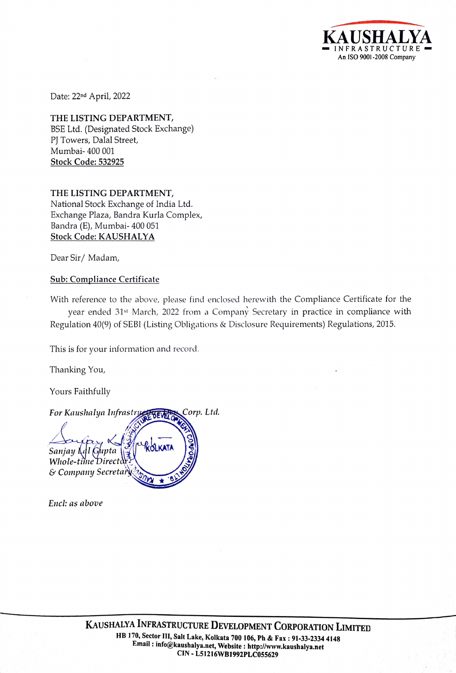RASTRUCT<sup>.</sup> INFRASTRUCTURE = An ISO 9001-2008 Company

Date: 22nd April, 2022

THE LISTING DEPARTMENT, BSE Ltd. (Designated Stock Exchange) PJ Towers, Dalal Street, Mumbai- 400 001 Stock Code: 532925

THE LISTING DEPARTMENT, National Stock Exchange of India Ltd. Exchange Plaza, Bandra Kurla Complex, Bandra (E), Mumbai- 400 051 Stock Code: KAUSHALYA

Dear Sir/ Madam,

## Sub: Compliance Certificate

With reference to the above, please find enclosed herewith the Compliance Certificate for the year ended 31st March, 2022 from a Company Secretary in practice in compliance with Regulation 40(9) of SEBI (Listing Obligations & Disclosure Requirements) Regulations, 2015.

This is for your information and record.

Thanking You,

Yours Faithfully

For Kaushalya Infrastryet Tree Corp. Ltd.  $\left(\begin{smallmatrix} 1 & 0 \\ 0 & 1 \end{smallmatrix}\right)$ or Kaushalya Infrastruce 1888 Sanjay l Whole-time & Company Secreta  $\begin{pmatrix} 5 \\ 2 \\ 3 \end{pmatrix}$ 

Encl: as above